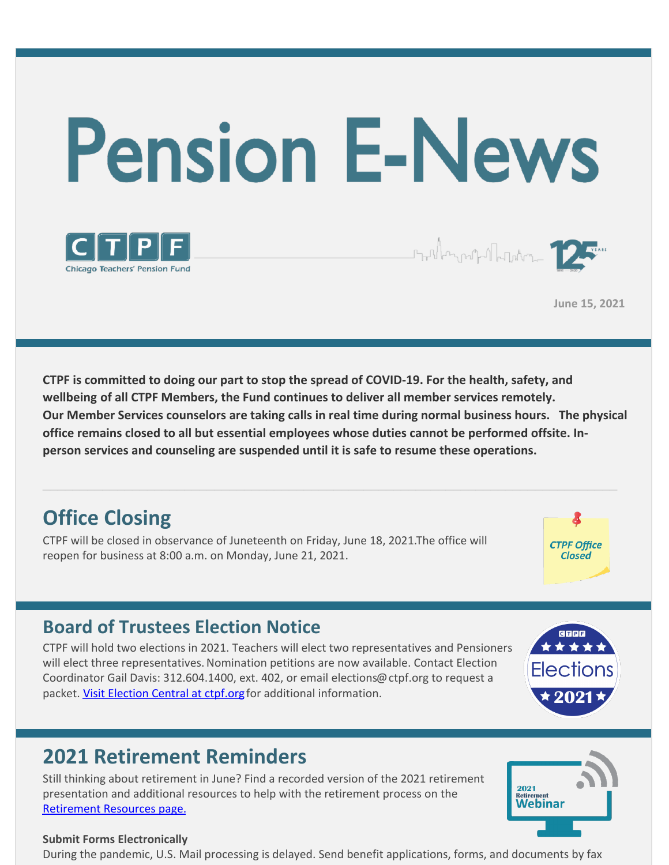



**June 15, 2021**

Frithmout The Town

**CTPF is committed to doing our part to stop the spread of COVID-19. For the health, safety, and wellbeing of all CTPF Members, the Fund continues to deliver all member services remotely. Our Member Services counselors are taking calls in real time during normal business hours. The physical office remains closed to all but essential employees whose duties cannot be performed offsite. Inperson services and counseling are suspended until it is safe to resume these operations.**

# **Office Closing**

CTPF will be closed in observance of Juneteenth on Friday, June 18, 2021.The office will reopen for business at 8:00 a.m. on Monday, June 21, 2021.



### **Board of Trustees Election Notice**

CTPF will hold two elections in 2021. Teachers will elect two representatives and Pensioners will elect three representatives. Nomination petitions are now available. Contact Election Coordinator Gail Davis: 312.604.1400, ext. 402, or email elections@ctpf.org to request a packet. Visit [Election](https://www.ctpf.org/about-ctpf/election-central-2021) Central at ctpf.org for additional information.



### **2021 Retirement Reminders**

Still thinking about retirement in June? Find a recorded version of the 2021 retirement presentation and additional resources to help with the retirement process on the [Retirement](https://www.ctpf.org/member-resources/active-members/retirement-resources) Resources page.



### **Submit Forms Electronically**

During the pandemic, U.S. Mail processing is delayed. Send benefit applications, forms, and documents by fax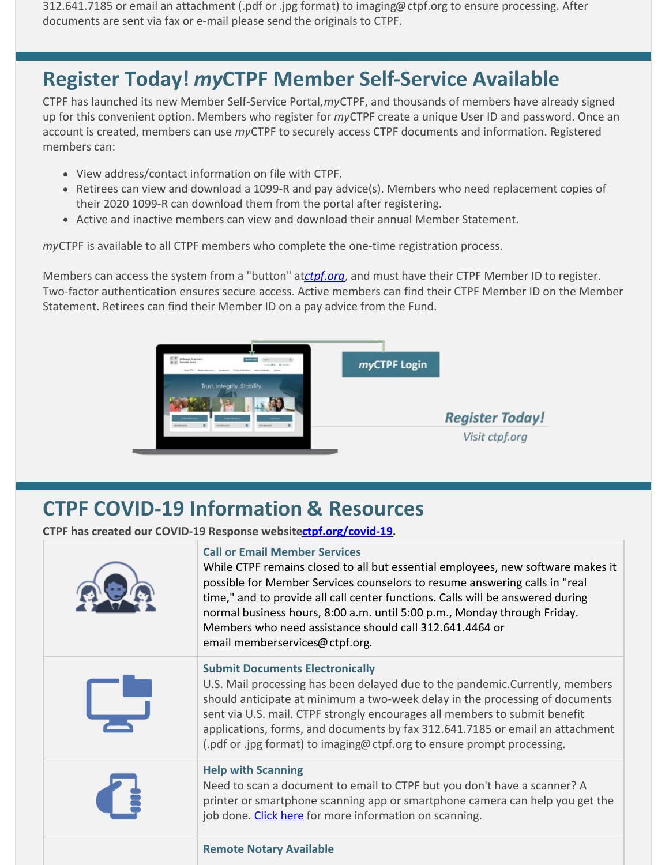312.641.7185 or email an attachment (.pdf or .jpg format) to imaging@ctpf.org to ensure processing. After documents are sent via fax or e-mail please send the originals to CTPF.

# **Register Today!** *my***CTPF Member Self-Service Available**

CTPF has launched its new Member Self-Service Portal,*my*CTPF, and thousands of members have already signed up for this convenient option. Members who register for *my*CTPF create a unique User ID and password. Once an account is created, members can use *my*CTPF to securely access CTPF documents and information. Registered members can:

- View address/contact information on file with CTPF.
- Retirees can view and download a 1099-R and pay advice(s). Members who need replacement copies of their 2020 1099-R can download them from the portal after registering.
- Active and inactive members can view and download their annual Member Statement.

*my*CTPF is available to all CTPF members who complete the one-time registration process.

Members can access the system from a "button" at*[ctpf.org](http://www.ctpf.org)*, and must have their CTPF Member ID to register. Two-factor authentication ensures secure access. Active members can find their CTPF Member ID on the Member Statement. Retirees can find their Member ID on a pay advice from the Fund.



## **CTPF COVID-19 Information & Resources**

**CTPF has created our COVID-19 Response websit[ectpf.org/covid-19](http://ctpf.org/covid-19).**

|  | <b>Call or Email Member Services</b><br>While CTPF remains closed to all but essential employees, new software makes it<br>possible for Member Services counselors to resume answering calls in "real<br>time," and to provide all call center functions. Calls will be answered during<br>normal business hours, 8:00 a.m. until 5:00 p.m., Monday through Friday.<br>Members who need assistance should call 312.641.4464 or<br>email memberservices@ctpf.org. |
|--|------------------------------------------------------------------------------------------------------------------------------------------------------------------------------------------------------------------------------------------------------------------------------------------------------------------------------------------------------------------------------------------------------------------------------------------------------------------|
|  | <b>Submit Documents Electronically</b><br>U.S. Mail processing has been delayed due to the pandemic. Currently, members<br>should anticipate at minimum a two-week delay in the processing of documents<br>sent via U.S. mail. CTPF strongly encourages all members to submit benefit<br>applications, forms, and documents by fax 312.641.7185 or email an attachment<br>(.pdf or .jpg format) to imaging@ctpf.org to ensure prompt processing.                 |
|  | <b>Help with Scanning</b><br>Need to scan a document to email to CTPF but you don't have a scanner? A<br>printer or smartphone scanning app or smartphone camera can help you get the<br>job done. Click here for more information on scanning.                                                                                                                                                                                                                  |
|  | <b>Remote Notary Available</b>                                                                                                                                                                                                                                                                                                                                                                                                                                   |